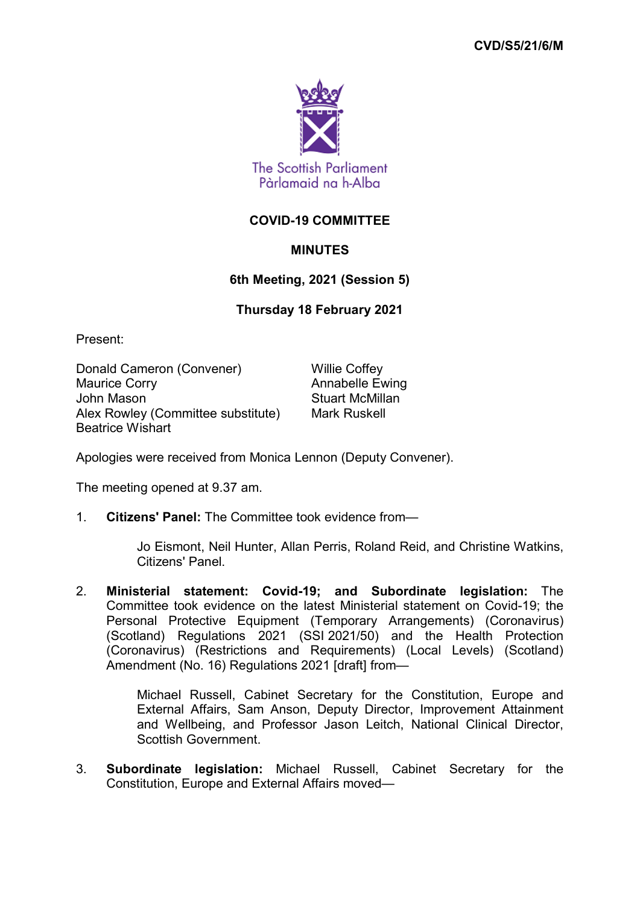

## **COVID-19 COMMITTEE**

## **MINUTES**

## **6th Meeting, 2021 (Session 5)**

## **Thursday 18 February 2021**

Present:

Donald Cameron (Convener) Willie Coffey<br>Maurice Corrv Maurice Corrv John Mason **Stuart McMillan** Alex Rowley (Committee substitute) Mark Ruskell Beatrice Wishart

Annabelle Ewing

Apologies were received from Monica Lennon (Deputy Convener).

The meeting opened at 9.37 am.

1. **Citizens' Panel:** The Committee took evidence from—

Jo Eismont, Neil Hunter, Allan Perris, Roland Reid, and Christine Watkins, Citizens' Panel.

2. **Ministerial statement: Covid-19; and Subordinate legislation:** The Committee took evidence on the latest Ministerial statement on Covid-19; the Personal Protective Equipment (Temporary Arrangements) (Coronavirus) (Scotland) Regulations 2021 (SSI 2021/50) and the Health Protection (Coronavirus) (Restrictions and Requirements) (Local Levels) (Scotland) Amendment (No. 16) Regulations 2021 [draft] from—

> Michael Russell, Cabinet Secretary for the Constitution, Europe and External Affairs, Sam Anson, Deputy Director, Improvement Attainment and Wellbeing, and Professor Jason Leitch, National Clinical Director, Scottish Government.

3. **Subordinate legislation:** Michael Russell, Cabinet Secretary for the Constitution, Europe and External Affairs moved—